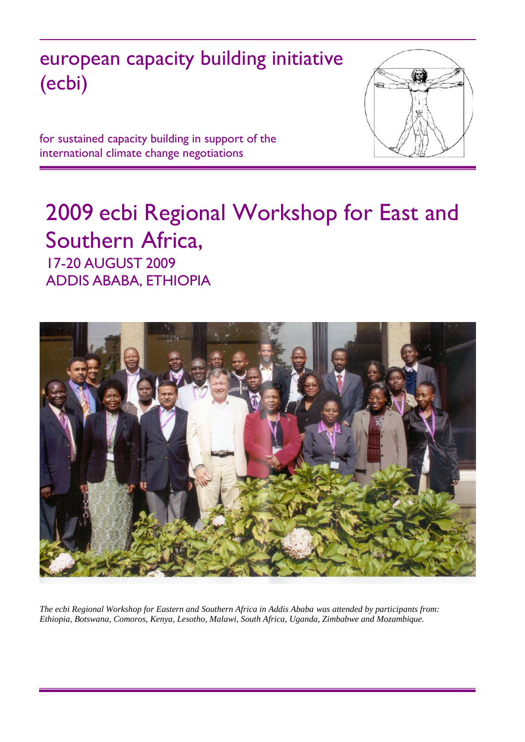# european capacity building initiative (ecbi)



for sustained capacity building in support of the international climate change negotiations

## 2009 ecbi Regional Workshop for East and Southern Africa, 17-20 AUGUST 2009 ADDIS ABABA, ETHIOPIA



*The ecbi Regional Workshop for Eastern and Southern Africa in Addis Ababa was attended by participants from: Ethiopia, Botswana, Comoros, Kenya, Lesotho, Malawi, South Africa, Uganda, Zimbabwe and Mozambique.*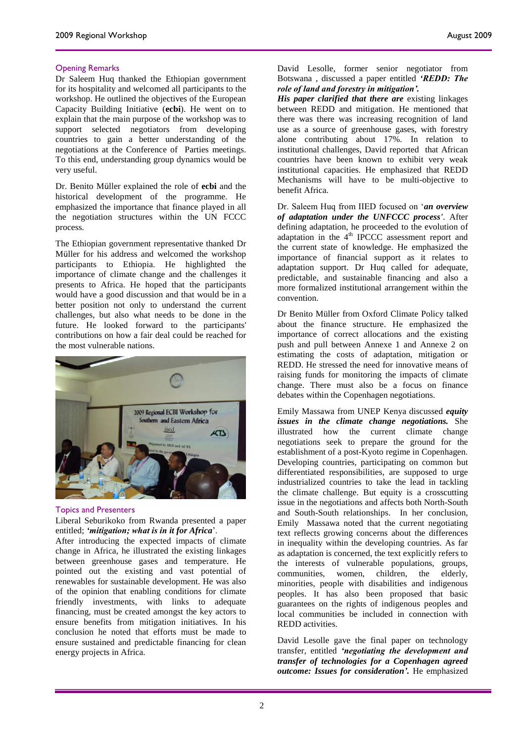Dr Saleem Huq thanked the Ethiopian government for its hospitality and welcomed all participants to the workshop. He outlined the objectives of the European Capacity Building Initiative (**ecbi**). He went on to explain that the main purpose of the workshop was to support selected negotiators from developing countries to gain a better understanding of the negotiations at the Conference of Parties meetings. To this end, understanding group dynamics would be very useful.

Dr. Benito Müller explained the role of **ecbi** and the historical development of the programme. He emphasized the importance that finance played in all the negotiation structures within the UN FCCC process.

The Ethiopian government representative thanked Dr Müller for his address and welcomed the workshop participants to Ethiopia. He highlighted the importance of climate change and the challenges it presents to Africa. He hoped that the participants would have a good discussion and that would be in a better position not only to understand the current challenges, but also what needs to be done in the future. He looked forward to the participants' contributions on how a fair deal could be reached for the most vulnerable nations.



#### Topics and Presenters

Liberal Seburikoko from Rwanda presented a paper entitled; *'mitigation; what is in it for Africa*'.

After introducing the expected impacts of climate change in Africa, he illustrated the existing linkages between greenhouse gases and temperature. He pointed out the existing and vast potential of renewables for sustainable development. He was also of the opinion that enabling conditions for climate friendly investments, with links to adequate financing, must be created amongst the key actors to ensure benefits from mitigation initiatives. In his conclusion he noted that efforts must be made to ensure sustained and predictable financing for clean energy projects in Africa.

David Lesolle, former senior negotiator from Botswana , discussed a paper entitled *'REDD: The role of land and forestry in mitigation'.*

*His paper clarified that there are* existing linkages between REDD and mitigation. He mentioned that there was there was increasing recognition of land use as a source of greenhouse gases, with forestry alone contributing about 17%. In relation to institutional challenges, David reported that African countries have been known to exhibit very weak institutional capacities. He emphasized that REDD Mechanisms will have to be multi-objective to benefit Africa.

Dr. Saleem Huq from IIED focused on '*an overview of adaptation under the UNFCCC process'*. After defining adaptation, he proceeded to the evolution of adaptation in the  $4<sup>th</sup>$  IPCCC assessment report and the current state of knowledge. He emphasized the importance of financial support as it relates to adaptation support. Dr Huq called for adequate, predictable, and sustainable financing and also a more formalized institutional arrangement within the convention.

Dr Benito Müller from Oxford Climate Policy talked about the finance structure. He emphasized the importance of correct allocations and the existing push and pull between Annexe 1 and Annexe 2 on estimating the costs of adaptation, mitigation or REDD. He stressed the need for innovative means of raising funds for monitoring the impacts of climate change. There must also be a focus on finance debates within the Copenhagen negotiations.

Emily Massawa from UNEP Kenya discussed *equity issues in the climate change negotiations.* She illustrated how the current climate change negotiations seek to prepare the ground for the establishment of a post-Kyoto regime in Copenhagen. Developing countries, participating on common but differentiated responsibilities, are supposed to urge industrialized countries to take the lead in tackling the climate challenge. But equity is a crosscutting issue in the negotiations and affects both North-South and South-South relationships. In her conclusion, Emily Massawa noted that the current negotiating text reflects growing concerns about the differences in inequality within the developing countries. As far as adaptation is concerned, the text explicitly refers to the interests of vulnerable populations, groups, communities, women, children, the elderly, minorities, people with disabilities and indigenous peoples. It has also been proposed that basic guarantees on the rights of indigenous peoples and local communities be included in connection with REDD activities.

David Lesolle gave the final paper on technology transfer, entitled *'negotiating the development and transfer of technologies for a Copenhagen agreed outcome: Issues for consideration'.* He emphasized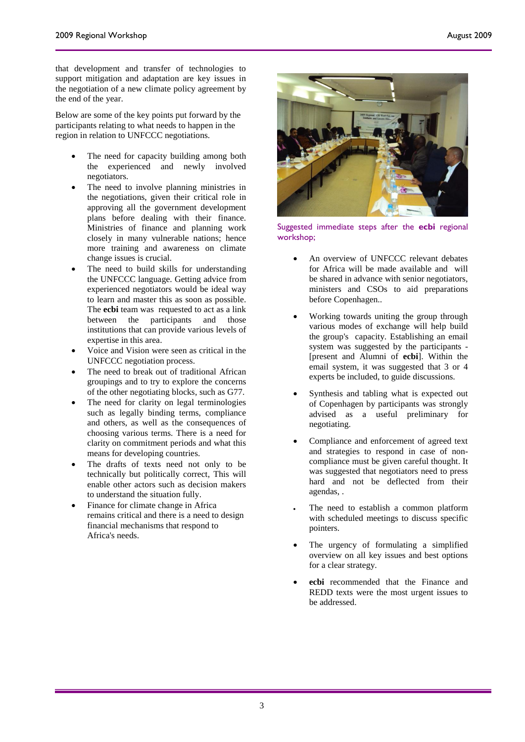that development and transfer of technologies to support mitigation and adaptation are key issues in the negotiation of a new climate policy agreement by the end of the year.

Below are some of the key points put forward by the participants relating to what needs to happen in the region in relation to UNFCCC negotiations.

- The need for capacity building among both the experienced and newly involved negotiators.
- The need to involve planning ministries in the negotiations, given their critical role in approving all the government development plans before dealing with their finance. Ministries of finance and planning work closely in many vulnerable nations; hence more training and awareness on climate change issues is crucial.
- The need to build skills for understanding the UNFCCC language. Getting advice from experienced negotiators would be ideal way to learn and master this as soon as possible. The **ecbi** team was requested to act as a link between the participants and those institutions that can provide various levels of expertise in this area.
- Voice and Vision were seen as critical in the UNFCCC negotiation process.
- The need to break out of traditional African groupings and to try to explore the concerns of the other negotiating blocks, such as G77.
- The need for clarity on legal terminologies such as legally binding terms, compliance and others, as well as the consequences of choosing various terms. There is a need for clarity on commitment periods and what this means for developing countries.
- The drafts of texts need not only to be technically but politically correct, This will enable other actors such as decision makers to understand the situation fully.
- Finance for climate change in Africa remains critical and there is a need to design financial mechanisms that respond to Africa's needs.



Suggested immediate steps after the **ecbi** regional workshop;

- An overview of UNFCCC relevant debates for Africa will be made available and will be shared in advance with senior negotiators, ministers and CSOs to aid preparations before Copenhagen..
- Working towards uniting the group through various modes of exchange will help build the group's capacity. Establishing an email system was suggested by the participants - [present and Alumni of **ecbi**]. Within the email system, it was suggested that 3 or 4 experts be included, to guide discussions.
- Synthesis and tabling what is expected out of Copenhagen by participants was strongly advised as a useful preliminary for negotiating.
- Compliance and enforcement of agreed text and strategies to respond in case of noncompliance must be given careful thought. It was suggested that negotiators need to press hard and not be deflected from their agendas, .
- The need to establish a common platform with scheduled meetings to discuss specific pointers.
- The urgency of formulating a simplified overview on all key issues and best options for a clear strategy.
- **ecbi** recommended that the Finance and REDD texts were the most urgent issues to be addressed.